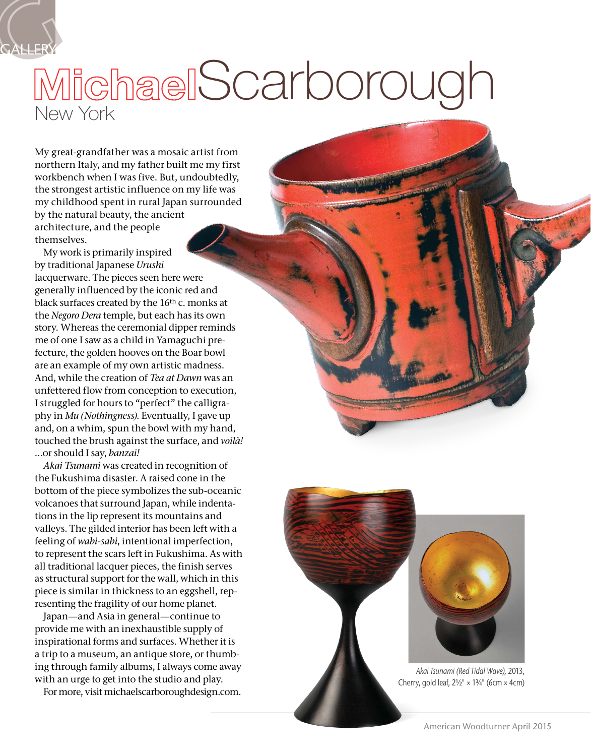

## New York MichaelScarborough

My great-grandfather was a mosaic artist from northern Italy, and my father built me my first workbench when I was five. But, undoubtedly, the strongest artistic influence on my life was my childhood spent in rural Japan surrounded by the natural beauty, the ancient architecture, and the people themselves.

My work is primarily inspired by traditional Japanese *Urushi* lacquerware. The pieces seen here were generally influenced by the iconic red and black surfaces created by the 16th c. monks at the *Negoro Dera* temple, but each has its own story. Whereas the ceremonial dipper reminds me of one I saw as a child in Yamaguchi prefecture, the golden hooves on the Boar bowl are an example of my own artistic madness. And, while the creation of *Tea at Dawn* was an unfettered flow from conception to execution, I struggled for hours to "perfect" the calligraphy in *Mu (Nothingness)*. Eventually, I gave up and, on a whim, spun the bowl with my hand, touched the brush against the surface, and *voilà!* …or should I say, *banzai!*

*Akai Tsunami* was created in recognition of the Fukushima disaster. A raised cone in the bottom of the piece symbolizes the sub-oceanic volcanoes that surround Japan, while indentations in the lip represent its mountains and valleys. The gilded interior has been left with a feeling of *wabi-sabi*, intentional imperfection, to represent the scars left in Fukushima. As with all traditional lacquer pieces, the finish serves as structural support for the wall, which in this piece is similar in thickness to an eggshell, representing the fragility of our home planet.

Japan—and Asia in general—continue to provide me with an inexhaustible supply of inspirational forms and surfaces. Whether it is a trip to a museum, an antique store, or thumbing through family albums, I always come away with an urge to get into the studio and play.

For more, visit [michaelscarboroughdesign.com](http://michaelscarboroughdesign.com).



*Akai Tsunami (Red Tidal Wave),* 2013, Cherry, gold leaf,  $2\frac{1}{2}$ " ×  $1\frac{3}{4}$ " (6cm × 4cm)